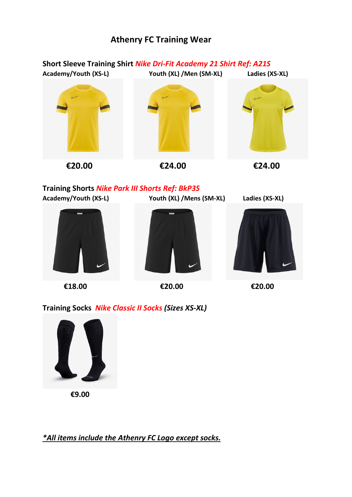## **Athenry FC Training Wear**

## **Short Sleeve Training Shirt** *Nike Dri-Fit Academy 21 Shirt Ref: A21S* **Academy/Youth (XS-L) Youth (XL) /Men (SM-XL) Ladies (XS-XL)**



**Training Shorts** *Nike Park III Shorts Ref: BkP3S* **Academy/Youth (XS-L) Youth (XL) /Mens (SM-XL) Ladies (XS-XL)**



**€18.00 €20.00 €20.00**





**Training Socks** *Nike Classic II Socks (Sizes XS-XL)*



 **€9.00**

*\*All items include the Athenry FC Logo except socks.*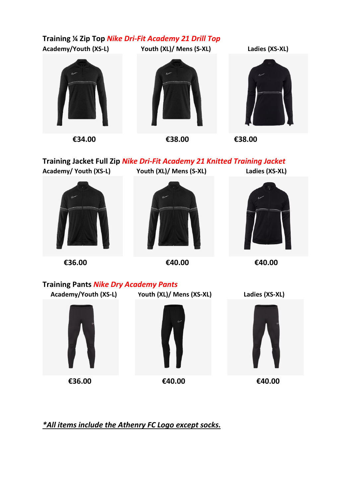**Training ¼ Zip Top** *Nike Dri-Fit Academy 21 Drill Top* **Academy/Youth (XS-L) Youth (XL)/ Mens (S-XL) Ladies (XS-XL)**



 **€34.00 €38.00 €38.00**

**Training Jacket Full Zip** *Nike Dri-Fit Academy 21 Knitted Training Jacket* **Academy/ Youth (XS-L) Youth (XL)/ Mens (S-XL) Ladies (XS-XL)**



**€36.00 €40.00 €40.00**





**Training Pants** *Nike Dry Academy Pants*

 **Academy/Youth (XS-L) Youth (XL)/ Mens (XS-XL) Ladies (XS-XL)**





 **€36.00 €40.00 €40.00**

*\*All items include the Athenry FC Logo except socks.*